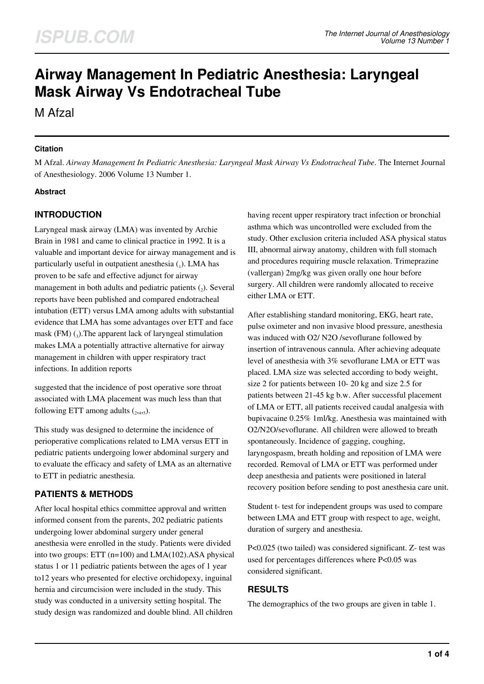# **Airway Management In Pediatric Anesthesia: Laryngeal Mask Airway Vs Endotracheal Tube**

M Afzal

## **Citation**

M Afzal. *Airway Management In Pediatric Anesthesia: Laryngeal Mask Airway Vs Endotracheal Tube*. The Internet Journal of Anesthesiology. 2006 Volume 13 Number 1.

## **Abstract**

# **INTRODUCTION**

Laryngeal mask airway (LMA) was invented by Archie Brain in 1981 and came to clinical practice in 1992. It is a valuable and important device for airway management and is particularly useful in outpatient anesthesia  $_{(1)}$ . LMA has proven to be safe and effective adjunct for airway management in both adults and pediatric patients  $(_{2})$ . Several reports have been published and compared endotracheal intubation (ETT) versus LMA among adults with substantial evidence that LMA has some advantages over ETT and face mask  $(FM)$   $(_{3}$ ). The apparent lack of laryngeal stimulation makes LMA a potentially attractive alternative for airway management in children with upper respiratory tract infections. In addition reports

suggested that the incidence of post operative sore throat associated with LMA placement was much less than that following ETT among adults  $(_{2,4,5})$ .

This study was designed to determine the incidence of perioperative complications related to LMA versus ETT in pediatric patients undergoing lower abdominal surgery and to evaluate the efficacy and safety of LMA as an alternative to ETT in pediatric anesthesia.

# **PATIENTS & METHODS**

After local hospital ethics committee approval and written informed consent from the parents, 202 pediatric patients undergoing lower abdominal surgery under general anesthesia were enrolled in the study. Patients were divided into two groups: ETT (n=100) and LMA(102).ASA physical status 1 or 11 pediatric patients between the ages of 1 year to12 years who presented for elective orchidopexy, inguinal hernia and circumcision were included in the study. This study was conducted in a university setting hospital. The study design was randomized and double blind. All children

having recent upper respiratory tract infection or bronchial asthma which was uncontrolled were excluded from the study. Other exclusion criteria included ASA physical status III, abnormal airway anatomy, children with full stomach and procedures requiring muscle relaxation. Trimeprazine (vallergan) 2mg/kg was given orally one hour before surgery. All children were randomly allocated to receive either LMA or ETT.

After establishing standard monitoring, EKG, heart rate, pulse oximeter and non invasive blood pressure, anesthesia was induced with O2/ N2O /sevoflurane followed by insertion of intravenous cannula. After achieving adequate level of anesthesia with 3% sevoflurane LMA or ETT was placed. LMA size was selected according to body weight, size 2 for patients between 10- 20 kg and size 2.5 for patients between 21-45 kg b.w. After successful placement of LMA or ETT, all patients received caudal analgesia with bupivacaine 0.25% 1ml/kg. Anesthesia was maintained with O2/N2O/sevoflurane. All children were allowed to breath spontaneously. Incidence of gagging, coughing, laryngospasm, breath holding and reposition of LMA were recorded. Removal of LMA or ETT was performed under deep anesthesia and patients were positioned in lateral recovery position before sending to post anesthesia care unit.

Student t- test for independent groups was used to compare between LMA and ETT group with respect to age, weight, duration of surgery and anesthesia.

P<0.025 (two tailed) was considered significant. Z- test was used for percentages differences where P<0.05 was considered significant.

## **RESULTS**

The demographics of the two groups are given in table 1.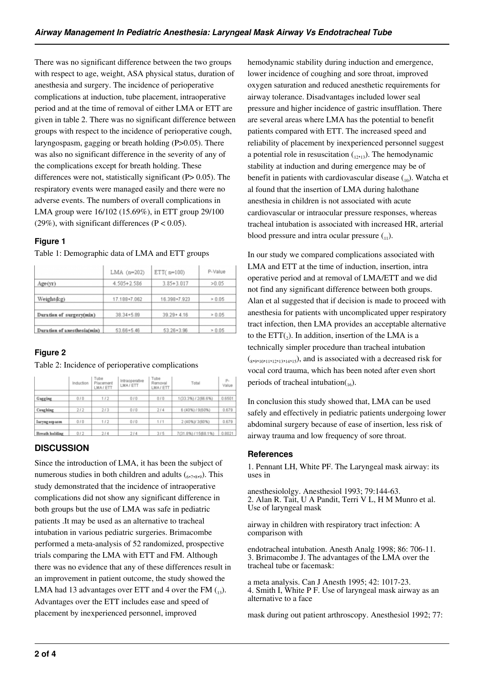There was no significant difference between the two groups with respect to age, weight, ASA physical status, duration of anesthesia and surgery. The incidence of perioperative complications at induction, tube placement, intraoperative period and at the time of removal of either LMA or ETT are given in table 2. There was no significant difference between groups with respect to the incidence of perioperative cough, laryngospasm, gagging or breath holding (P>0.05). There was also no significant difference in the severity of any of the complications except for breath holding. These differences were not, statistically significant (P $> 0.05$ ). The respiratory events were managed easily and there were no adverse events. The numbers of overall complications in LMA group were 16/102 (15.69%), in ETT group 29/100 (29%), with significant differences ( $P < 0.05$ ).

## **Figure 1**

|                             | $LMA$ (n=202)  | $ETT($ n=100)  | P-Value                    |  |
|-----------------------------|----------------|----------------|----------------------------|--|
| Age(y)                      | 4.505+2.586    | $3.85 + 3.017$ | >0.05                      |  |
| Weight(kg)                  | 17.188+7.062   | 16.398+7.923   | > 0.05<br>> 0.05<br>> 0.05 |  |
| Duration of surgery(min)    | $38.34 + 5.89$ | $39.29 + 4.16$ |                            |  |
| Duration of anesthesia(min) | 53.66+5.46     | $53.26 + 3.96$ |                            |  |

#### Table 1: Demographic data of LMA and ETT groups

#### **Figure 2**

Table 2: Incidence of perioperative complications

|                       | Induction | Tube<br>Placement<br>LMA/ETT | Intraoperative<br>LMA/ETT | Tube<br>Removal<br>LMA/ETT | Total                | р.<br>Value |
|-----------------------|-----------|------------------------------|---------------------------|----------------------------|----------------------|-------------|
| Gagging               | 010       | 1/2                          | 0/0                       | 0/0                        | 1(33.3%) / 2(66.6%)  | 0.6501      |
| Coughing              | 212       | 2/3                          | 0/0                       | 214                        | 6 (40%) / 9(60%)     | 0.679       |
| I aryng osp asm       | 0/0       | 1/2                          | 0/0                       | 1/1                        | 2 (40%)/ 3(60%)      | 0.679       |
| <b>Breath holding</b> | 012       | 214                          | 214                       | 3/5                        | 7(31.8%) / 15(68.1%) | 0.8021      |

## **DISCUSSION**

Since the introduction of LMA, it has been the subject of numerous studies in both children and adults  $(6,7,8,9)$ . This study demonstrated that the incidence of intraoperative complications did not show any significant difference in both groups but the use of LMA was safe in pediatric patients .It may be used as an alternative to tracheal intubation in various pediatric surgeries. Brimacombe performed a meta-analysis of 52 randomized, prospective trials comparing the LMA with ETT and FM. Although there was no evidence that any of these differences result in an improvement in patient outcome, the study showed the LMA had 13 advantages over ETT and 4 over the FM  $_{(13)}$ . Advantages over the ETT includes ease and speed of placement by inexperienced personnel, improved

hemodynamic stability during induction and emergence, lower incidence of coughing and sore throat, improved oxygen saturation and reduced anesthetic requirements for airway tolerance. Disadvantages included lower seal pressure and higher incidence of gastric insufflation. There are several areas where LMA has the potential to benefit patients compared with ETT. The increased speed and reliability of placement by inexperienced personnel suggest a potential role in resuscitation  $_{(12,13)}$ . The hemodynamic stability at induction and during emergence may be of benefit in patients with cardiovascular disease  $\binom{10}{10}$ . Watcha et al found that the insertion of LMA during halothane anesthesia in children is not associated with acute cardiovascular or intraocular pressure responses, whereas tracheal intubation is associated with increased HR, arterial blood pressure and intra ocular pressure  $\binom{1}{1}$ .

In our study we compared complications associated with LMA and ETT at the time of induction, insertion, intra operative period and at removal of LMA/ETT and we did not find any significant difference between both groups. Alan et al suggested that if decision is made to proceed with anesthesia for patients with uncomplicated upper respiratory tract infection, then LMA provides an acceptable alternative to the  $ETT({}_2)$ . In addition, insertion of the LMA is a technically simpler procedure than tracheal intubation  $(s_{19110111121131415})$ , and is associated with a decreased risk for vocal cord trauma, which has been noted after even short periods of tracheal intubation $_{16}$ ).

In conclusion this study showed that, LMA can be used safely and effectively in pediatric patients undergoing lower abdominal surgery because of ease of insertion, less risk of airway trauma and low frequency of sore throat.

#### **References**

1. Pennant LH, White PF. The Laryngeal mask airway: its uses in

anesthesiololgy. Anesthesiol 1993; 79:144-63. 2. Alan R. Tait, U A Pandit, Terri V L, H M Munro et al. Use of laryngeal mask

airway in children with respiratory tract infection: A comparison with

endotracheal intubation. Anesth Analg 1998; 86: 706-11. 3. Brimacombe J. The advantages of the LMA over the tracheal tube or facemask:

a meta analysis. Can J Anesth 1995; 42: 1017-23. 4. Smith I, White P F. Use of laryngeal mask airway as an alternative to a face

mask during out patient arthroscopy. Anesthesiol 1992; 77: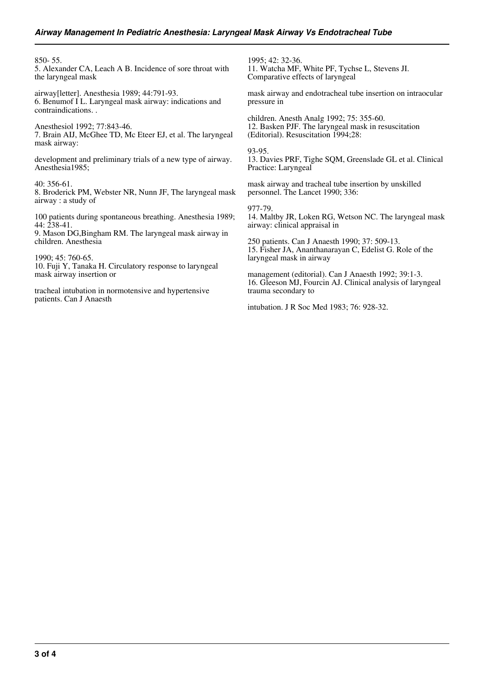850- 55.

5. Alexander CA, Leach A B. Incidence of sore throat with the laryngeal mask

airway[letter]. Anesthesia 1989; 44:791-93. 6. Benumof I L. Laryngeal mask airway: indications and contraindications. .

Anesthesiol 1992; 77:843-46. 7. Brain AIJ, McGhee TD, Mc Eteer EJ, et al. The laryngeal mask airway:

development and preliminary trials of a new type of airway. Anesthesia1985;

40: 356-61. 8. Broderick PM, Webster NR, Nunn JF, The laryngeal mask airway : a study of

100 patients during spontaneous breathing. Anesthesia 1989; 44: 238-41.

9. Mason DG,Bingham RM. The laryngeal mask airway in children. Anesthesia

1990; 45: 760-65. 10. Fuji Y, Tanaka H. Circulatory response to laryngeal mask airway insertion or

tracheal intubation in normotensive and hypertensive patients. Can J Anaesth

1995; 42: 32-36. 11. Watcha MF, White PF, Tychse L, Stevens JI. Comparative effects of laryngeal

mask airway and endotracheal tube insertion on intraocular pressure in

children. Anesth Analg 1992; 75: 355-60. 12. Basken PJF. The laryngeal mask in resuscitation (Editorial). Resuscitation 1994;28:

93-95. 13. Davies PRF, Tighe SQM, Greenslade GL et al. Clinical Practice: Laryngeal

mask airway and tracheal tube insertion by unskilled personnel. The Lancet 1990; 336:

977-79. 14. Maltby JR, Loken RG, Wetson NC. The laryngeal mask airway: clinical appraisal in

250 patients. Can J Anaesth 1990; 37: 509-13. 15. Fisher JA, Ananthanarayan C, Edelist G. Role of the laryngeal mask in airway

management (editorial). Can J Anaesth 1992; 39:1-3. 16. Gleeson MJ, Fourcin AJ. Clinical analysis of laryngeal trauma secondary to

intubation. J R Soc Med 1983; 76: 928-32.